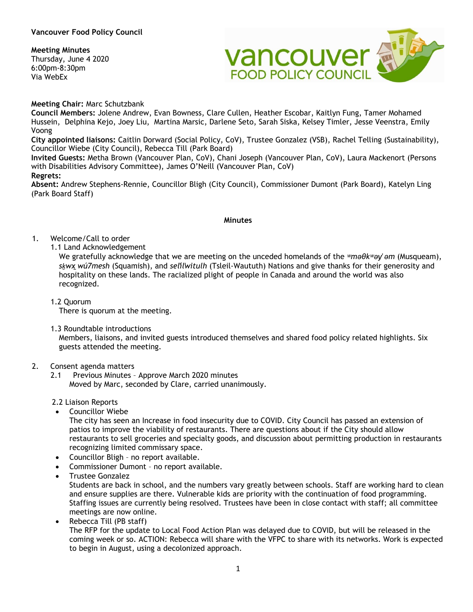# **Meeting Minutes**

Thursday, June 4 2020 6:00pm-8:30pm Via WebEx



**Meeting Chair:** Marc Schutzbank

**Council Members:** Jolene Andrew, Evan Bowness, Clare Cullen, Heather Escobar, Kaitlyn Fung, Tamer Mohamed Hussein, Delphina Kejo, Joey Liu, Martina Marsic, Darlene Seto, Sarah Siska, Kelsey Timler, Jesse Veenstra, Emily Voong

**City appointed liaisons:** Caitlin Dorward (Social Policy, CoV), Trustee Gonzalez (VSB), Rachel Telling (Sustainability), Councillor Wiebe (City Council), Rebecca Till (Park Board)

**Invited Guests:** Metha Brown (Vancouver Plan, CoV), Chani Joseph (Vancouver Plan, CoV), Laura Mackenort (Persons with Disabilities Advisory Committee), James O'Neill (Vancouver Plan, CoV)

## **Regrets:**

**Absent:** Andrew Stephens-Rennie, Councillor Bligh (City Council), Commissioner Dumont (Park Board), Katelyn Ling (Park Board Staff)

#### **Minutes**

# 1. Welcome/Call to order

1.1 Land Acknowledgement

We gratefully acknowledge that we are meeting on the unceded homelands of the *ʷməθkʷəy̓ əm* (Musqueam), *sḵwx̱wú7mesh* (Squamish), and *sel̓íl̓witulh* (Tsleil-Waututh) Nations and give thanks for their generosity and hospitality on these lands. The racialized plight of people in Canada and around the world was also recognized.

1.2 Quorum

There is quorum at the meeting.

1.3 Roundtable introductions

Members, liaisons, and invited guests introduced themselves and shared food policy related highlights. Six guests attended the meeting.

- 2. Consent agenda matters
	- 2.1 Previous Minutes Approve March 2020 minutes Moved by Marc, seconded by Clare, carried unanimously.
	- 2.2 Liaison Reports
	- Councillor Wiebe

The city has seen an Increase in food insecurity due to COVID. City Council has passed an extension of patios to improve the viability of restaurants. There are questions about if the City should allow restaurants to sell groceries and specialty goods, and discussion about permitting production in restaurants recognizing limited commissary space.

- Councillor Bligh no report available.
- Commissioner Dumont no report available.
- Trustee Gonzalez

Students are back in school, and the numbers vary greatly between schools. Staff are working hard to clean and ensure supplies are there. Vulnerable kids are priority with the continuation of food programming. Staffing issues are currently being resolved. Trustees have been in close contact with staff; all committee meetings are now online.

• Rebecca Till (PB staff) The RFP for the update to Local Food Action Plan was delayed due to COVID, but will be released in the coming week or so. ACTION: Rebecca will share with the VFPC to share with its networks. Work is expected to begin in August, using a decolonized approach.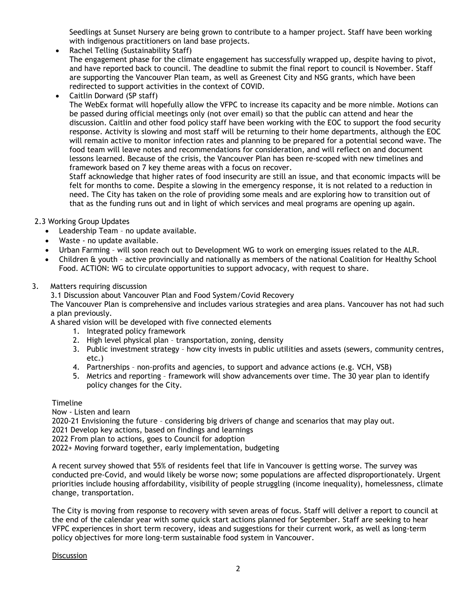Seedlings at Sunset Nursery are being grown to contribute to a hamper project. Staff have been working with indigenous practitioners on land base projects.

- Rachel Telling (Sustainability Staff) The engagement phase for the climate engagement has successfully wrapped up, despite having to pivot, and have reported back to council. The deadline to submit the final report to council is November. Staff are supporting the Vancouver Plan team, as well as Greenest City and NSG grants, which have been redirected to support activities in the context of COVID.
- Caitlin Dorward (SP staff)

The WebEx format will hopefully allow the VFPC to increase its capacity and be more nimble. Motions can be passed during official meetings only (not over email) so that the public can attend and hear the discussion. Caitlin and other food policy staff have been working with the EOC to support the food security response. Activity is slowing and most staff will be returning to their home departments, although the EOC will remain active to monitor infection rates and planning to be prepared for a potential second wave. The food team will leave notes and recommendations for consideration, and will reflect on and document lessons learned. Because of the crisis, the Vancouver Plan has been re-scoped with new timelines and framework based on 7 key theme areas with a focus on recover.

Staff acknowledge that higher rates of food insecurity are still an issue, and that economic impacts will be felt for months to come. Despite a slowing in the emergency response, it is not related to a reduction in need. The City has taken on the role of providing some meals and are exploring how to transition out of that as the funding runs out and in light of which services and meal programs are opening up again.

2.3 Working Group Updates

- Leadership Team no update available.
- Waste no update available.
- Urban Farming will soon reach out to Development WG to work on emerging issues related to the ALR.
- Children & youth active provincially and nationally as members of the national Coalition for Healthy School Food. ACTION: WG to circulate opportunities to support advocacy, with request to share.
- 3. Matters requiring discussion

3.1 Discussion about Vancouver Plan and Food System/Covid Recovery

The Vancouver Plan is comprehensive and includes various strategies and area plans. Vancouver has not had such a plan previously.

A shared vision will be developed with five connected elements

- 1. Integrated policy framework
- 2. High level physical plan transportation, zoning, density
- 3. Public investment strategy how city invests in public utilities and assets (sewers, community centres, etc.)
- 4. Partnerships non-profits and agencies, to support and advance actions (e.g. VCH, VSB)
- 5. Metrics and reporting framework will show advancements over time. The 30 year plan to identify policy changes for the City.

**Timeline** 

Now - Listen and learn

2020-21 Envisioning the future – considering big drivers of change and scenarios that may play out.

2021 Develop key actions, based on findings and learnings

2022 From plan to actions, goes to Council for adoption

2022+ Moving forward together, early implementation, budgeting

A recent survey showed that 55% of residents feel that life in Vancouver is getting worse. The survey was conducted pre-Covid, and would likely be worse now; some populations are affected disproportionately. Urgent priorities include housing affordability, visibility of people struggling (income inequality), homelessness, climate change, transportation.

The City is moving from response to recovery with seven areas of focus. Staff will deliver a report to council at the end of the calendar year with some quick start actions planned for September. Staff are seeking to hear VFPC experiences in short term recovery, ideas and suggestions for their current work, as well as long-term policy objectives for more long-term sustainable food system in Vancouver.

#### **Discussion**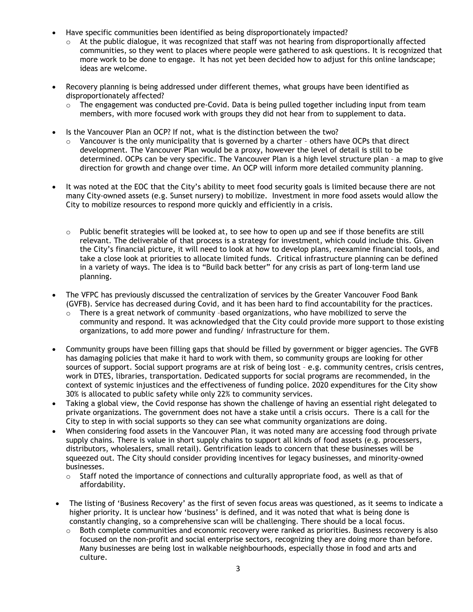- Have specific communities been identified as being disproportionately impacted?
	- $\circ$  At the public dialogue, it was recognized that staff was not hearing from disproportionally affected communities, so they went to places where people were gathered to ask questions. It is recognized that more work to be done to engage. It has not yet been decided how to adjust for this online landscape; ideas are welcome.
- Recovery planning is being addressed under different themes, what groups have been identified as disproportionately affected?
	- $\circ$  The engagement was conducted pre-Covid. Data is being pulled together including input from team members, with more focused work with groups they did not hear from to supplement to data.
- Is the Vancouver Plan an OCP? If not, what is the distinction between the two?
	- $\circ$  Vancouver is the only municipality that is governed by a charter others have OCPs that direct development. The Vancouver Plan would be a proxy, however the level of detail is still to be determined. OCPs can be very specific. The Vancouver Plan is a high level structure plan – a map to give direction for growth and change over time. An OCP will inform more detailed community planning.
- It was noted at the EOC that the City's ability to meet food security goals is limited because there are not many City-owned assets (e.g. Sunset nursery) to mobilize. Investment in more food assets would allow the City to mobilize resources to respond more quickly and efficiently in a crisis.
	- $\circ$  Public benefit strategies will be looked at, to see how to open up and see if those benefits are still relevant. The deliverable of that process is a strategy for investment, which could include this. Given the City's financial picture, it will need to look at how to develop plans, reexamine financial tools, and take a close look at priorities to allocate limited funds. Critical infrastructure planning can be defined in a variety of ways. The idea is to "Build back better" for any crisis as part of long-term land use planning.
- The VFPC has previously discussed the centralization of services by the Greater Vancouver Food Bank (GVFB). Service has decreased during Covid, and it has been hard to find accountability for the practices.
	- $\circ$  There is a great network of community -based organizations, who have mobilized to serve the community and respond. It was acknowledged that the City could provide more support to those existing organizations, to add more power and funding/ infrastructure for them.
- Community groups have been filling gaps that should be filled by government or bigger agencies. The GVFB has damaging policies that make it hard to work with them, so community groups are looking for other sources of support. Social support programs are at risk of being lost – e.g. community centres, crisis centres, work in DTES, libraries, transportation. Dedicated supports for social programs are recommended, in the context of systemic injustices and the effectiveness of funding police. 2020 expenditures for the City show 30% is allocated to public safety while only 22% to community services.
- Taking a global view, the Covid response has shown the challenge of having an essential right delegated to private organizations. The government does not have a stake until a crisis occurs. There is a call for the City to step in with social supports so they can see what community organizations are doing.
- When considering food assets in the Vancouver Plan, it was noted many are accessing food through private supply chains. There is value in short supply chains to support all kinds of food assets (e.g. processers, distributors, wholesalers, small retail). Gentrification leads to concern that these businesses will be squeezed out. The City should consider providing incentives for legacy businesses, and minority-owned businesses.
	- o Staff noted the importance of connections and culturally appropriate food, as well as that of affordability.
- The listing of 'Business Recovery' as the first of seven focus areas was questioned, as it seems to indicate a higher priority. It is unclear how 'business' is defined, and it was noted that what is being done is constantly changing, so a comprehensive scan will be challenging. There should be a local focus.
	- $\circ$  Both complete communities and economic recovery were ranked as priorities. Business recovery is also focused on the non-profit and social enterprise sectors, recognizing they are doing more than before. Many businesses are being lost in walkable neighbourhoods, especially those in food and arts and culture.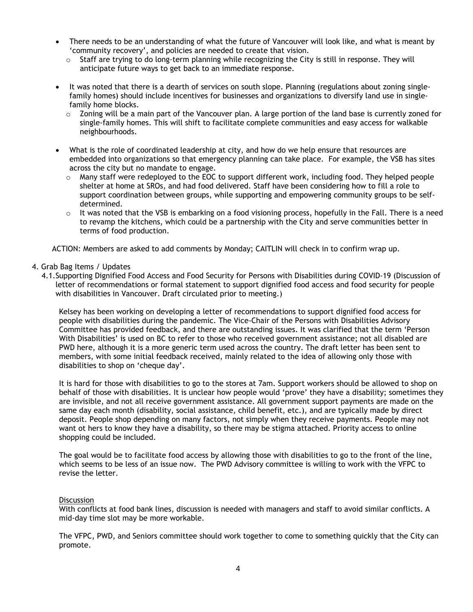- There needs to be an understanding of what the future of Vancouver will look like, and what is meant by 'community recovery', and policies are needed to create that vision.
	- $\circ$  Staff are trying to do long-term planning while recognizing the City is still in response. They will anticipate future ways to get back to an immediate response.
- It was noted that there is a dearth of services on south slope. Planning (regulations about zoning singlefamily homes) should include incentives for businesses and organizations to diversify land use in singlefamily home blocks.
	- $\circ$  Zoning will be a main part of the Vancouver plan. A large portion of the land base is currently zoned for single-family homes. This will shift to facilitate complete communities and easy access for walkable neighbourhoods.
- What is the role of coordinated leadership at city, and how do we help ensure that resources are embedded into organizations so that emergency planning can take place. For example, the VSB has sites across the city but no mandate to engage.
	- $\circ$  Many staff were redeployed to the EOC to support different work, including food. They helped people shelter at home at SROs, and had food delivered. Staff have been considering how to fill a role to support coordination between groups, while supporting and empowering community groups to be selfdetermined.
	- $\circ$  It was noted that the VSB is embarking on a food visioning process, hopefully in the Fall. There is a need to revamp the kitchens, which could be a partnership with the City and serve communities better in terms of food production.

ACTION: Members are asked to add comments by Monday; CAITLIN will check in to confirm wrap up.

## 4. Grab Bag Items / Updates

4.1.Supporting Dignified Food Access and Food Security for Persons with Disabilities during COVID-19 (Discussion of letter of recommendations or formal statement to support dignified food access and food security for people with disabilities in Vancouver. Draft circulated prior to meeting.)

Kelsey has been working on developing a letter of recommendations to support dignified food access for people with disabilities during the pandemic. The Vice-Chair of the Persons with Disabilities Advisory Committee has provided feedback, and there are outstanding issues. It was clarified that the term 'Person With Disabilities' is used on BC to refer to those who received government assistance; not all disabled are PWD here, although it is a more generic term used across the country. The draft letter has been sent to members, with some initial feedback received, mainly related to the idea of allowing only those with disabilities to shop on 'cheque day'.

It is hard for those with disabilities to go to the stores at 7am. Support workers should be allowed to shop on behalf of those with disabilities. It is unclear how people would 'prove' they have a disability; sometimes they are invisible, and not all receive government assistance. All government support payments are made on the same day each month (disability, social assistance, child benefit, etc.), and are typically made by direct deposit. People shop depending on many factors, not simply when they receive payments. People may not want ot hers to know they have a disability, so there may be stigma attached. Priority access to online shopping could be included.

The goal would be to facilitate food access by allowing those with disabilities to go to the front of the line, which seems to be less of an issue now. The PWD Advisory committee is willing to work with the VFPC to revise the letter.

#### **Discussion**

With conflicts at food bank lines, discussion is needed with managers and staff to avoid similar conflicts. A mid-day time slot may be more workable.

The VFPC, PWD, and Seniors committee should work together to come to something quickly that the City can promote.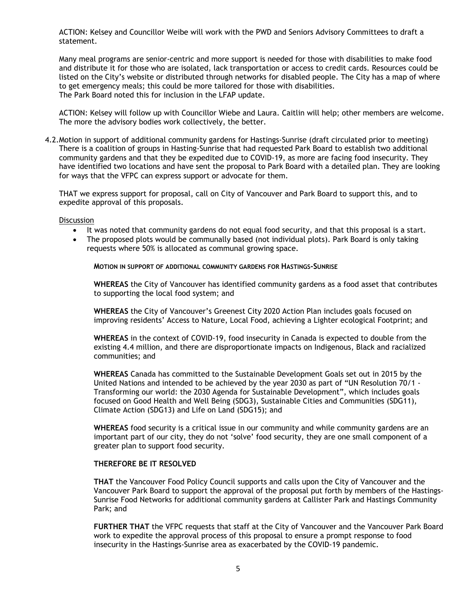ACTION: Kelsey and Councillor Weibe will work with the PWD and Seniors Advisory Committees to draft a statement.

Many meal programs are senior-centric and more support is needed for those with disabilities to make food and distribute it for those who are isolated, lack transportation or access to credit cards. Resources could be listed on the City's website or distributed through networks for disabled people. The City has a map of where to get emergency meals; this could be more tailored for those with disabilities. The Park Board noted this for inclusion in the LFAP update.

ACTION: Kelsey will follow up with Councillor Wiebe and Laura. Caitlin will help; other members are welcome. The more the advisory bodies work collectively, the better.

4.2.Motion in support of additional community gardens for Hastings-Sunrise (draft circulated prior to meeting) There is a coalition of groups in Hasting-Sunrise that had requested Park Board to establish two additional community gardens and that they be expedited due to COVID-19, as more are facing food insecurity. They have identified two locations and have sent the proposal to Park Board with a detailed plan. They are looking for ways that the VFPC can express support or advocate for them.

THAT we express support for proposal, call on City of Vancouver and Park Board to support this, and to expedite approval of this proposals.

#### Discussion

- It was noted that community gardens do not equal food security, and that this proposal is a start.
- The proposed plots would be communally based (not individual plots). Park Board is only taking requests where 50% is allocated as communal growing space.

**MOTION IN SUPPORT OF ADDITIONAL COMMUNITY GARDENS FOR HASTINGS-SUNRISE**

**WHEREAS** the City of Vancouver has identified community gardens as a food asset that contributes to supporting the local food system; and

**WHEREAS** the City of Vancouver's Greenest City 2020 Action Plan includes goals focused on improving residents' Access to Nature, Local Food, achieving a Lighter ecological Footprint; and

**WHEREAS** in the context of COVID-19, food insecurity in Canada is expected to double from the existing 4.4 million, and there are disproportionate impacts on Indigenous, Black and racialized communities; and

**WHEREAS** Canada has committed to the Sustainable Development Goals set out in 2015 by the United Nations and intended to be achieved by the year 2030 as part of "UN Resolution 70/1 - Transforming our world: the 2030 Agenda for Sustainable Development", which includes goals focused on Good Health and Well Being (SDG3), Sustainable Cities and Communities (SDG11), Climate Action (SDG13) and Life on Land (SDG15); and

**WHEREAS** food security is a critical issue in our community and while community gardens are an important part of our city, they do not 'solve' food security, they are one small component of a greater plan to support food security.

## **THEREFORE BE IT RESOLVED**

**THAT** the Vancouver Food Policy Council supports and calls upon the City of Vancouver and the Vancouver Park Board to support the approval of the proposal put forth by members of the Hastings-Sunrise Food Networks for additional community gardens at Callister Park and Hastings Community Park; and

**FURTHER THAT** the VFPC requests that staff at the City of Vancouver and the Vancouver Park Board work to expedite the approval process of this proposal to ensure a prompt response to food insecurity in the Hastings-Sunrise area as exacerbated by the COVID-19 pandemic.